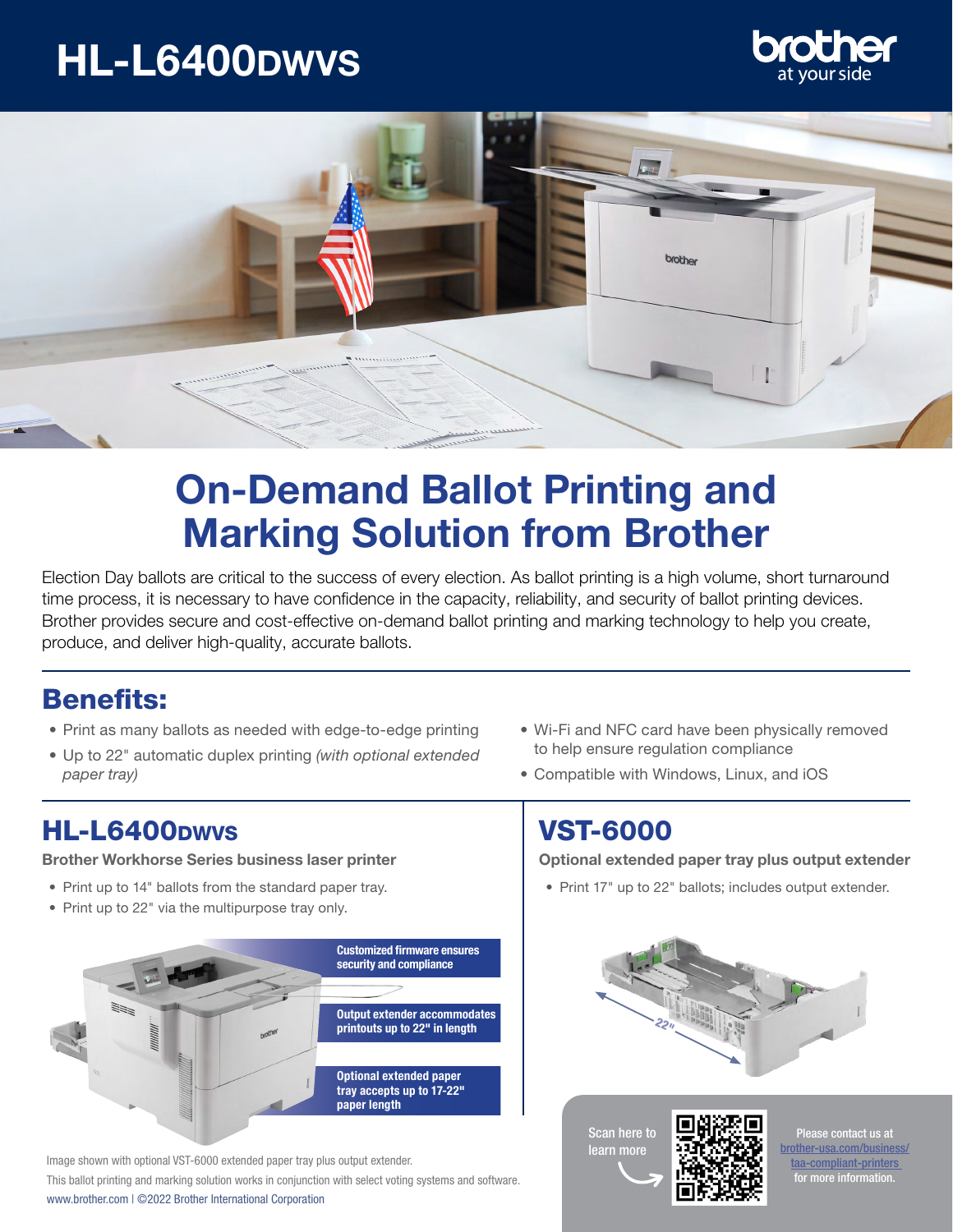# HL-L6400Dwvs





## On-Demand Ballot Printing and Marking Solution from Brother

Election Day ballots are critical to the success of every election. As ballot printing is a high volume, short turnaround time process, it is necessary to have confidence in the capacity, reliability, and security of ballot printing devices. Brother provides secure and cost-effective on-demand ballot printing and marking technology to help you create, produce, and deliver high-quality, accurate ballots.

### Benefits:

- Print as many ballots as needed with edge-to-edge printing
- Up to 22" automatic duplex printing *(with optional extended paper tray)*

### **HL-L6400**pwvs VST-6000

#### Brother Workhorse Series business laser printer

- Print up to 14" ballots from the standard paper tray.
- Print up to 22" via the multipurpose tray only.



This ballot printing and marking solution works in conjunction with select voting systems and software. www.brother.com | ©2022 Brother International Corporation Image shown with optional VST-6000 extended paper tray plus output extender.

- Wi-Fi and NFC card have been physically removed to help ensure regulation compliance
- Compatible with Windows, Linux, and iOS

Optional extended paper tray plus output extender

• Print 17" up to 22" ballots; includes output extender.



Scan here to learn more



Please contact us at [brother-usa.com/business/](http://brother-usa.com/business/ taa-compliant-printers  ) [taa-compliant-printers](http://brother-usa.com/business/ taa-compliant-printers  )  for more information.